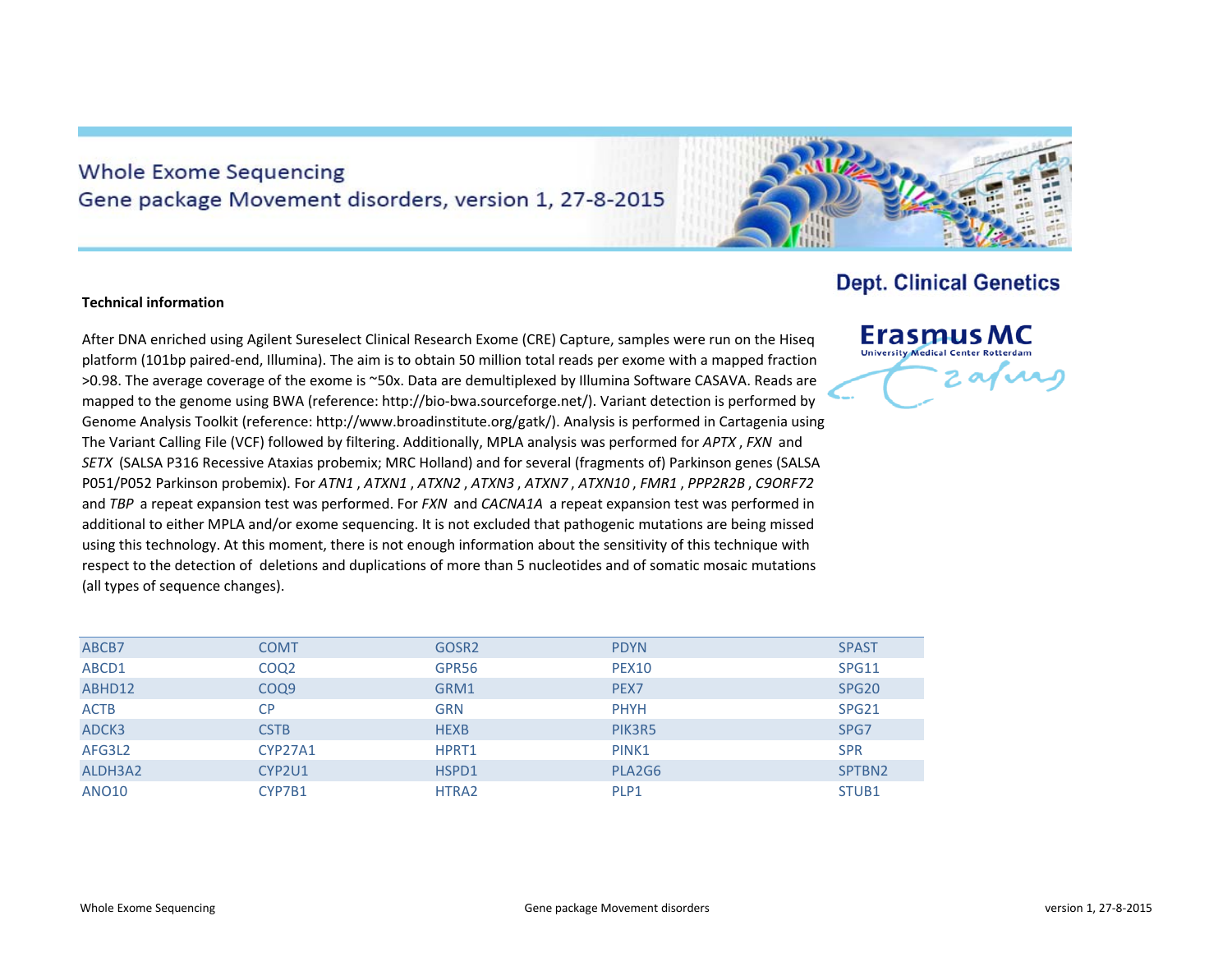## **Whole Exome Sequencing** Gene package Movement disorders, version 1, 27-8-2015



## **Technical information**

After DNA enriched using Agilent Sureselect Clinical Research Exome (CRE) Capture, samples were run on the Hiseq platform (101bp paired‐end, Illumina). The aim is to obtain 50 million total reads per exome with <sup>a</sup> mapped fraction >0.98. The average coverage of the exome is ~50x. Data are demultiplexed by Illumina Software CASAVA. Reads are mapped to the genome using BWA (reference: http://bio‐bwa.sourceforge.net/). Variant detection is performed by Genome Analysis Toolkit (reference: http://www.broadinstitute.org/gatk/). Analysis is performed in Cartagenia using The Variant Calling File (VCF) followed by filtering. Additionally, MPLA analysis was performed for *APTX* , *FXN* and *SETX* (SALSA P316 Recessive Ataxias probemix; MRC Holland) and for several (fragments of) Parkinson genes (SALSA P051/P052 Parkinson probemix). For *ATN1* , *ATXN1* , *ATXN2* , *ATXN3* , *ATXN7* , *ATXN10* , *FMR1* , *PPP2R2B* , *C9ORF72* and *TBP* <sup>a</sup> repeat expansion test was performed. For *FXN* and *CACNA1A* <sup>a</sup> repeat expansion test was performed in additional to either MPLA and/or exome sequencing. It is not excluded that pathogenic mutations are being missed using this technology. At this moment, there is not enough information about the sensitivity of this technique with respect to the detection of deletions and duplications of more than 5 nucleotides and of somatic mosaic mutations (all types of sequence changes).

| ABCB7        | <b>COMT</b>      | GOSR <sub>2</sub> | <b>PDYN</b>      | <b>SPAST</b>      |
|--------------|------------------|-------------------|------------------|-------------------|
| ABCD1        | COQ <sub>2</sub> | GPR56             | <b>PEX10</b>     | SPG11             |
| ABHD12       | COQ <sub>9</sub> | GRM1              | PEX <sub>7</sub> | SPG <sub>20</sub> |
| <b>ACTB</b>  | <b>CP</b>        | <b>GRN</b>        | <b>PHYH</b>      | SPG <sub>21</sub> |
| ADCK3        | <b>CSTB</b>      | <b>HEXB</b>       | PIK3R5           | SPG7              |
| AFG3L2       | CYP27A1          | HPRT1             | PINK1            | <b>SPR</b>        |
| ALDH3A2      | CYP2U1           | HSPD1             | PLA2G6           | SPTBN2            |
| <b>ANO10</b> | CYP7B1           | HTRA2             | PLP1             | STUB <sub>1</sub> |

## **Erasmus MC University Medical Center Rotterdam** zafir

**Dept. Clinical Genetics**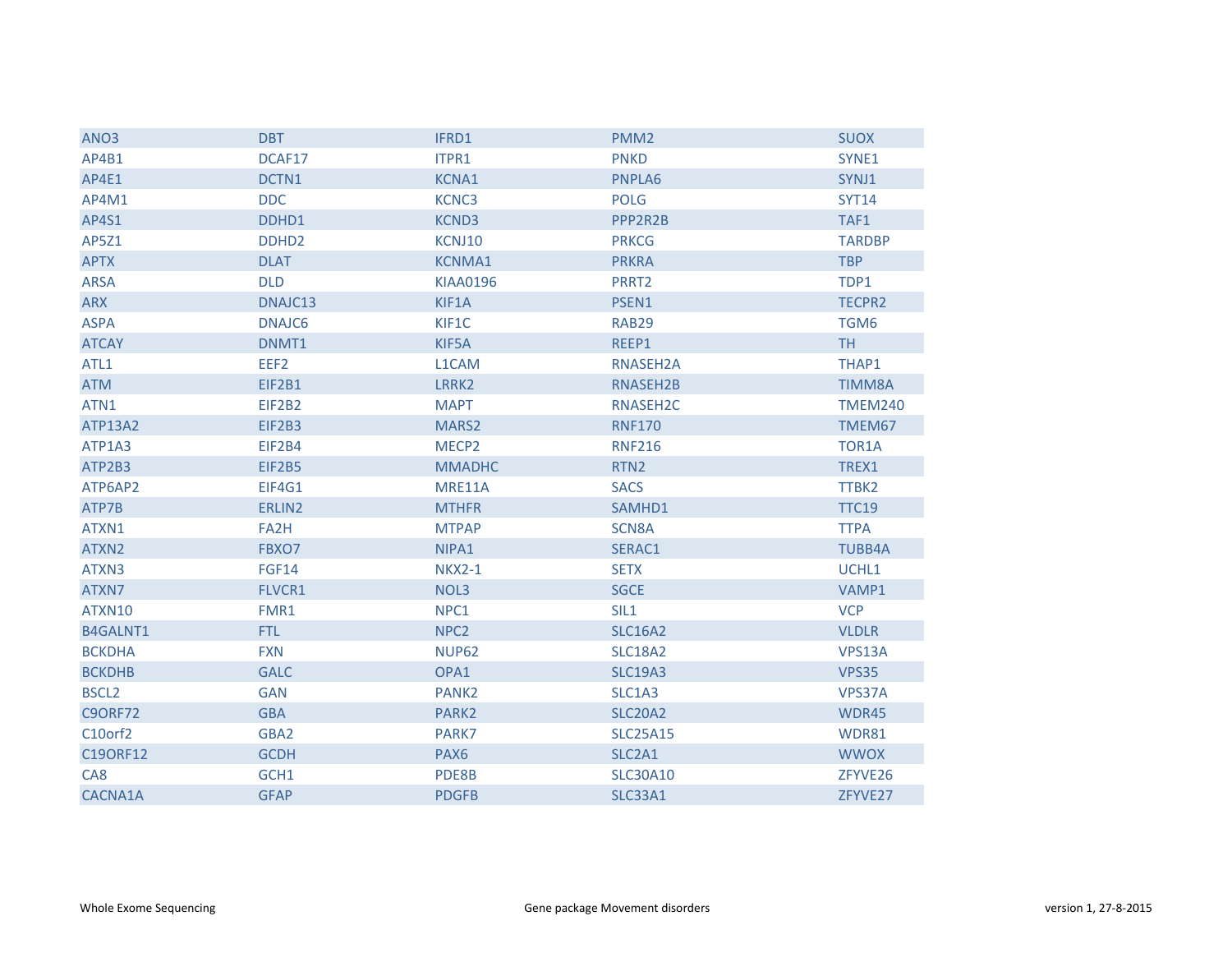| ANO <sub>3</sub> | <b>DBT</b>        | IFRD1             | PMM <sub>2</sub>     | <b>SUOX</b>    |
|------------------|-------------------|-------------------|----------------------|----------------|
| AP4B1            | DCAF17            | ITPR1             | <b>PNKD</b>          | SYNE1          |
| AP4E1            | DCTN1             | <b>KCNA1</b>      | PNPLA6               | SYNJ1          |
| AP4M1            | <b>DDC</b>        | KCNC3             | <b>POLG</b>          | <b>SYT14</b>   |
| AP4S1            | DDHD1             | <b>KCND3</b>      | PPP2R2B              | TAF1           |
| AP5Z1            | DDHD <sub>2</sub> | KCNJ10            | <b>PRKCG</b>         | <b>TARDBP</b>  |
| <b>APTX</b>      | <b>DLAT</b>       | <b>KCNMA1</b>     | <b>PRKRA</b>         | <b>TBP</b>     |
| <b>ARSA</b>      | <b>DLD</b>        | <b>KIAA0196</b>   | PRRT2                | TDP1           |
| <b>ARX</b>       | DNAJC13           | KIF1A             | PSEN1                | <b>TECPR2</b>  |
| <b>ASPA</b>      | DNAJC6            | KIF1C             | RAB29                | TGM6           |
| <b>ATCAY</b>     | DNMT1             | KIF5A             | REEP1                | <b>TH</b>      |
| ATL1             | EEF2              | L1CAM             | RNASEH2A             | THAP1          |
| <b>ATM</b>       | EIF2B1            | LRRK2             | RNASEH2B             | <b>TIMM8A</b>  |
| ATN1             | EIF2B2            | <b>MAPT</b>       | RNASEH <sub>2C</sub> | <b>TMEM240</b> |
| <b>ATP13A2</b>   | EIF2B3            | MARS2             | <b>RNF170</b>        | TMEM67         |
| ATP1A3           | EIF2B4            | MECP <sub>2</sub> | <b>RNF216</b>        | TOR1A          |
| ATP2B3           | EIF2B5            | <b>MMADHC</b>     | RTN <sub>2</sub>     | TREX1          |
| ATP6AP2          | EIF4G1            | MRE11A            | <b>SACS</b>          | TTBK2          |
| ATP7B            | ERLIN2            | <b>MTHFR</b>      | SAMHD1               | <b>TTC19</b>   |
| ATXN1            | FA2H              | <b>MTPAP</b>      | SCN8A                | <b>TTPA</b>    |
| ATXN2            | FBXO7             | NIPA1             | SERAC1               | <b>TUBB4A</b>  |
| ATXN3            | <b>FGF14</b>      | <b>NKX2-1</b>     | <b>SETX</b>          | UCHL1          |
| ATXN7            | <b>FLVCR1</b>     | NOL3              | <b>SGCE</b>          | VAMP1          |
| ATXN10           | FMR1              | NPC1              | SIL1                 | <b>VCP</b>     |
| B4GALNT1         | FTL.              | NPC <sub>2</sub>  | <b>SLC16A2</b>       | <b>VLDLR</b>   |
| <b>BCKDHA</b>    | <b>FXN</b>        | <b>NUP62</b>      | <b>SLC18A2</b>       | VPS13A         |
| <b>BCKDHB</b>    | <b>GALC</b>       | OPA1              | <b>SLC19A3</b>       | VPS35          |
| <b>BSCL2</b>     | <b>GAN</b>        | PANK <sub>2</sub> | SLC1A3               | VPS37A         |
| <b>C9ORF72</b>   | <b>GBA</b>        | PARK2             | <b>SLC20A2</b>       | WDR45          |
| C10orf2          | GBA2              | PARK7             | <b>SLC25A15</b>      | WDR81          |
| C19ORF12         | <b>GCDH</b>       | PAX <sub>6</sub>  | SLC2A1               | <b>WWOX</b>    |
| CA <sub>8</sub>  | GCH1              | PDE8B             | <b>SLC30A10</b>      | ZFYVE26        |
| CACNA1A          | <b>GFAP</b>       | <b>PDGFB</b>      | <b>SLC33A1</b>       | ZFYVE27        |